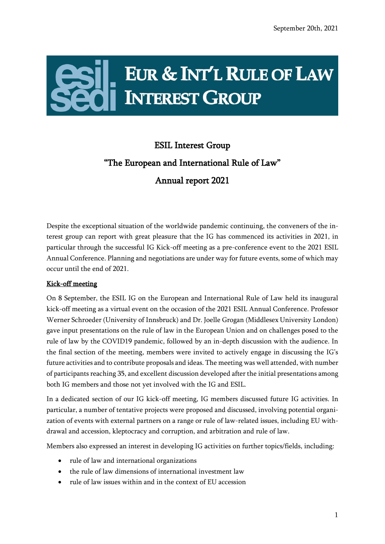$\mathbf{r}$ 

## EUR & INT'L RULE OF LAW **INTEREST GROUP**

## ESIL Interest Group "The European and International Rule of Law" Annual report 2021

Despite the exceptional situation of the worldwide pandemic continuing, the conveners of the interest group can report with great pleasure that the IG has commenced its activities in 2021, in particular through the successful IG Kick-off meeting as a pre-conference event to the 2021 ESIL Annual Conference. Planning and negotiations are under way for future events, some of which may occur until the end of 2021.

## Kick-off meeting

On 8 September, the ESIL IG on the European and International Rule of Law held its inaugural kick-off meeting as a virtual event on the occasion of the 2021 ESIL Annual Conference. Professor Werner Schroeder (University of Innsbruck) and Dr. Joelle Grogan (Middlesex University London) gave input presentations on the rule of law in the European Union and on challenges posed to the rule of law by the COVID19 pandemic, followed by an in-depth discussion with the audience. In the final section of the meeting, members were invited to actively engage in discussing the IG's future activities and to contribute proposals and ideas. The meeting was well attended, with number of participants reaching 35, and excellent discussion developed after the initial presentations among both IG members and those not yet involved with the IG and ESIL.

In a dedicated section of our IG kick-off meeting, IG members discussed future IG activities. In particular, a number of tentative projects were proposed and discussed, involving potential organization of events with external partners on a range or rule of law-related issues, including EU withdrawal and accession, kleptocracy and corruption, and arbitration and rule of law.

Members also expressed an interest in developing IG activities on further topics/fields, including:

- rule of law and international organizations
- the rule of law dimensions of international investment law
- rule of law issues within and in the context of EU accession